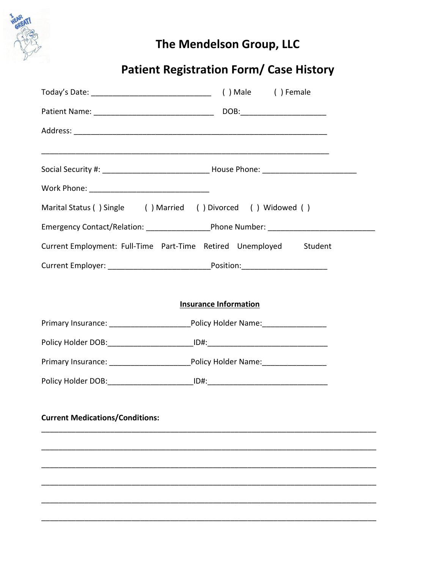

## The Mendelson Group, LLC

## **Patient Registration Form/ Case History**

| Marital Status () Single () Married () Divorced () Widowed ()                                        |
|------------------------------------------------------------------------------------------------------|
| Emergency Contact/Relation: ________________________Phone Number: __________________________________ |
| Current Employment: Full-Time Part-Time Retired Unemployed Student                                   |
|                                                                                                      |
|                                                                                                      |
| <b>Insurance Information</b>                                                                         |
|                                                                                                      |
|                                                                                                      |
|                                                                                                      |
| Policy Holder DOB: ____________________________ID#: ____________________________                     |
|                                                                                                      |
|                                                                                                      |
|                                                                                                      |
|                                                                                                      |
|                                                                                                      |
|                                                                                                      |
|                                                                                                      |
|                                                                                                      |